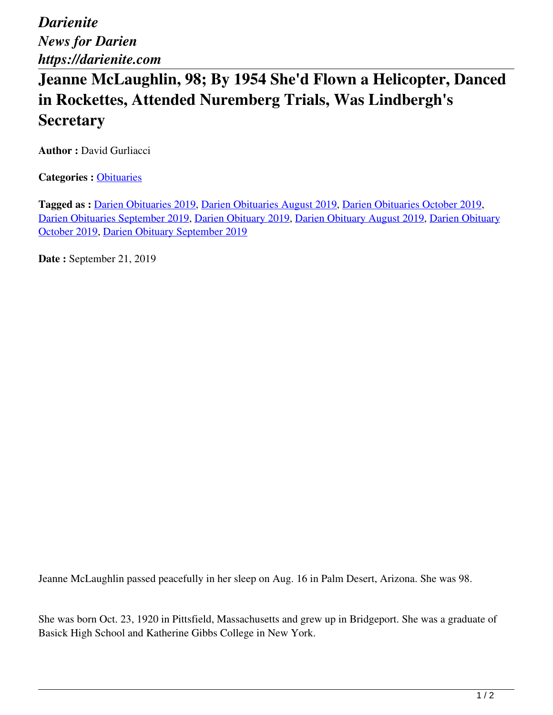*Darienite News for Darien https://darienite.com*

## **Jeanne McLaughlin, 98; By 1954 She'd Flown a Helicopter, Danced in Rockettes, Attended Nuremberg Trials, Was Lindbergh's Secretary**

**Author :** David Gurliacci

**Categories :** [Obituaries](https://darienite.com/category/obituaries)

**Tagged as :** Darien Obituaries 2019, Darien Obituaries August 2019, Darien Obituaries October 2019, Darien Obituaries September 2019, Darien Obituary 2019, Darien Obituary August 2019, Darien Obituary October 2019, Darien Obituary September 2019

**Date :** September 21, 2019

Jeanne McLaughlin passed peacefully in her sleep on Aug. 16 in Palm Desert, Arizona. She was 98.

She was born Oct. 23, 1920 in Pittsfield, Massachusetts and grew up in Bridgeport. She was a graduate of Basick High School and Katherine Gibbs College in New York.